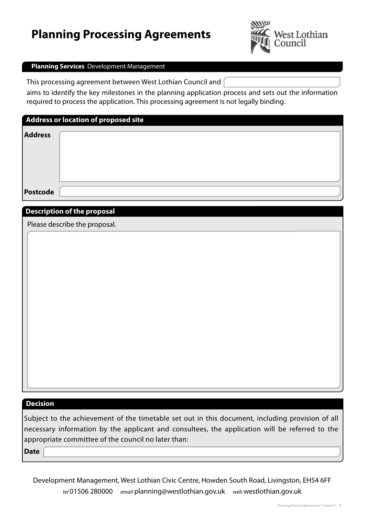# **Planning Processing Agreements**



#### **Planning Services** Development Management

This processing agreement between West Lothian Council and

aims to identify the key milestones in the planning application process and sets out the information required to process the application. This processing agreement is not legally binding.

| Address or location of proposed site |  |  |  |  |  |
|--------------------------------------|--|--|--|--|--|
| <b>Address</b>                       |  |  |  |  |  |
|                                      |  |  |  |  |  |
| Postcode                             |  |  |  |  |  |

#### **Description of the proposal**

Please describe the proposal.

## **Decision**

Subject to the achievement of the timetable set out in this document, including provision of all necessary information by the applicant and consultees, the application will be referred to the appropriate committee of the council no later than:

**Date**

Development Management, West Lothian Civic Centre, Howden South Road, Livingston, EH54 6FF *tel* 01506 280000 *email* planning@westlothian.gov.uk *web* westlothian.gov.uk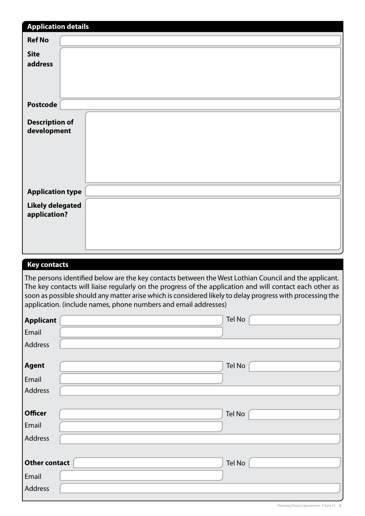| <b>Application details</b>              |  |  |  |  |
|-----------------------------------------|--|--|--|--|
| <b>Ref No</b>                           |  |  |  |  |
| <b>Site</b>                             |  |  |  |  |
| address                                 |  |  |  |  |
| <b>Postcode</b>                         |  |  |  |  |
| <b>Description of</b><br>development    |  |  |  |  |
| <b>Application type</b>                 |  |  |  |  |
| <b>Likely delegated</b><br>application? |  |  |  |  |
|                                         |  |  |  |  |

### **Key contacts**

The persons identified below are the key contacts between the West Lothian Council and the applicant. The key contacts will liaise regularly on the progress of the application and will contact each other as soon as possible should any matter arise which is considered likely to delay progress with processing the application. (include names, phone numbers and email addresses)

| <b>Applicant</b>     | Tel No |
|----------------------|--------|
| Email                |        |
| Address              |        |
|                      |        |
| <b>Agent</b>         | Tel No |
| Email                |        |
| Address              |        |
|                      |        |
| <b>Officer</b>       | Tel No |
| Email                |        |
| Address              |        |
|                      |        |
| <b>Other contact</b> | Tel No |
| Email                |        |
| Address              |        |
|                      |        |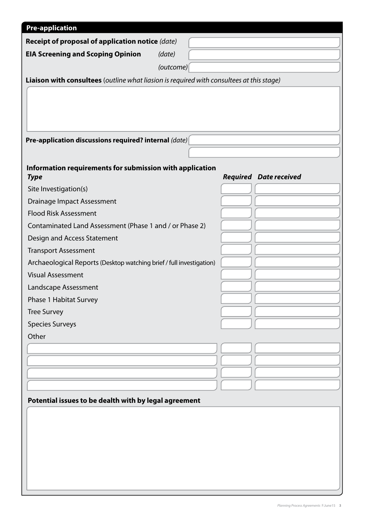| <b>Pre-application</b>                                                                   |           |  |                               |  |  |  |  |  |
|------------------------------------------------------------------------------------------|-----------|--|-------------------------------|--|--|--|--|--|
| Receipt of proposal of application notice (date)                                         |           |  |                               |  |  |  |  |  |
| <b>EIA Screening and Scoping Opinion</b>                                                 | (date)    |  |                               |  |  |  |  |  |
|                                                                                          | (outcome) |  |                               |  |  |  |  |  |
| Liaison with consultees (outline what liasion is required with consultees at this stage) |           |  |                               |  |  |  |  |  |
|                                                                                          |           |  |                               |  |  |  |  |  |
|                                                                                          |           |  |                               |  |  |  |  |  |
|                                                                                          |           |  |                               |  |  |  |  |  |
| Pre-application discussions required? internal (date)                                    |           |  |                               |  |  |  |  |  |
|                                                                                          |           |  |                               |  |  |  |  |  |
| Information requirements for submission with application                                 |           |  |                               |  |  |  |  |  |
| <b>Type</b>                                                                              |           |  | <b>Required Date received</b> |  |  |  |  |  |
| Site Investigation(s)                                                                    |           |  |                               |  |  |  |  |  |
| <b>Drainage Impact Assessment</b>                                                        |           |  |                               |  |  |  |  |  |
| <b>Flood Risk Assessment</b>                                                             |           |  |                               |  |  |  |  |  |
| Contaminated Land Assessment (Phase 1 and / or Phase 2)                                  |           |  |                               |  |  |  |  |  |
| Design and Access Statement                                                              |           |  |                               |  |  |  |  |  |
| <b>Transport Assessment</b>                                                              |           |  |                               |  |  |  |  |  |
| Archaeological Reports (Desktop watching brief / full investigation)                     |           |  |                               |  |  |  |  |  |
| <b>Visual Assessment</b>                                                                 |           |  |                               |  |  |  |  |  |
| Landscape Assessment                                                                     |           |  |                               |  |  |  |  |  |
| Phase 1 Habitat Survey                                                                   |           |  |                               |  |  |  |  |  |
| <b>Tree Survey</b>                                                                       |           |  |                               |  |  |  |  |  |
| <b>Species Surveys</b>                                                                   |           |  |                               |  |  |  |  |  |
| Other                                                                                    |           |  |                               |  |  |  |  |  |
|                                                                                          |           |  |                               |  |  |  |  |  |
|                                                                                          |           |  |                               |  |  |  |  |  |
|                                                                                          |           |  |                               |  |  |  |  |  |
|                                                                                          |           |  |                               |  |  |  |  |  |
| Potential issues to be dealth with by legal agreement                                    |           |  |                               |  |  |  |  |  |
|                                                                                          |           |  |                               |  |  |  |  |  |
|                                                                                          |           |  |                               |  |  |  |  |  |
|                                                                                          |           |  |                               |  |  |  |  |  |
|                                                                                          |           |  |                               |  |  |  |  |  |
|                                                                                          |           |  |                               |  |  |  |  |  |
|                                                                                          |           |  |                               |  |  |  |  |  |
|                                                                                          |           |  |                               |  |  |  |  |  |